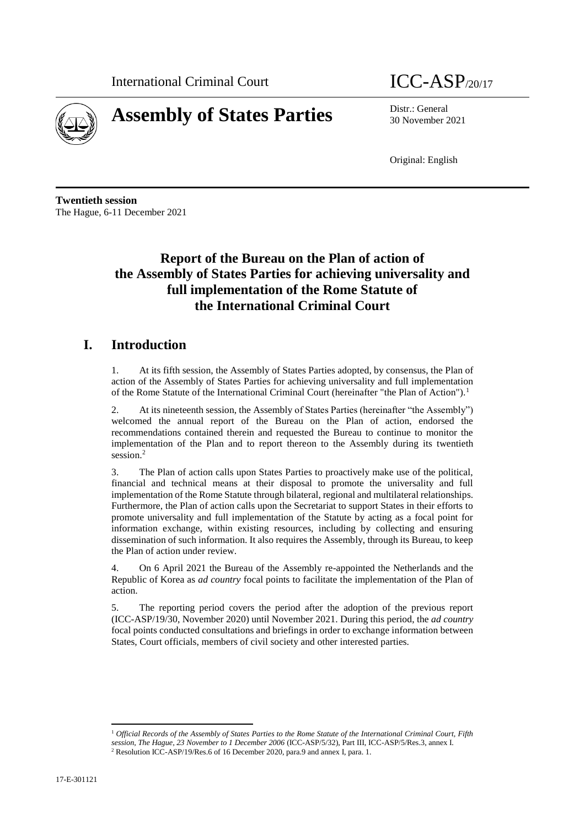



30 November 2021

Original: English

**Twentieth session** The Hague, 6-11 December 2021

# **Report of the Bureau on the Plan of action of the Assembly of States Parties for achieving universality and full implementation of the Rome Statute of the International Criminal Court**

## **I. Introduction**

1. At its fifth session, the Assembly of States Parties adopted, by consensus, the Plan of action of the Assembly of States Parties for achieving universality and full implementation of the Rome Statute of the International Criminal Court (hereinafter "the Plan of Action").<sup>1</sup>

2. At its nineteenth session, the Assembly of States Parties (hereinafter "the Assembly") welcomed the annual report of the Bureau on the Plan of action, endorsed the recommendations contained therein and requested the Bureau to continue to monitor the implementation of the Plan and to report thereon to the Assembly during its twentieth session.<sup>2</sup>

3. The Plan of action calls upon States Parties to proactively make use of the political, financial and technical means at their disposal to promote the universality and full implementation of the Rome Statute through bilateral, regional and multilateral relationships. Furthermore, the Plan of action calls upon the Secretariat to support States in their efforts to promote universality and full implementation of the Statute by acting as a focal point for information exchange, within existing resources, including by collecting and ensuring dissemination of such information. It also requires the Assembly, through its Bureau, to keep the Plan of action under review.

4. On 6 April 2021 the Bureau of the Assembly re-appointed the Netherlands and the Republic of Korea as *ad country* focal points to facilitate the implementation of the Plan of action.

5. The reporting period covers the period after the adoption of the previous report (ICC-ASP/19/30, November 2020) until November 2021. During this period, the *ad country*  focal points conducted consultations and briefings in order to exchange information between States, Court officials, members of civil society and other interested parties.

<sup>1</sup> *Official Records of the Assembly of States Parties to the Rome Statute of the International Criminal Court, Fifth session, The Hague, 23 November to 1 December 2006* (ICC-ASP/5/32), Part III, ICC-ASP/5/Res.3, annex I. <sup>2</sup> Resolution ICC-ASP/19/Res.6 of 16 December 2020, para.9 and annex I, para. 1.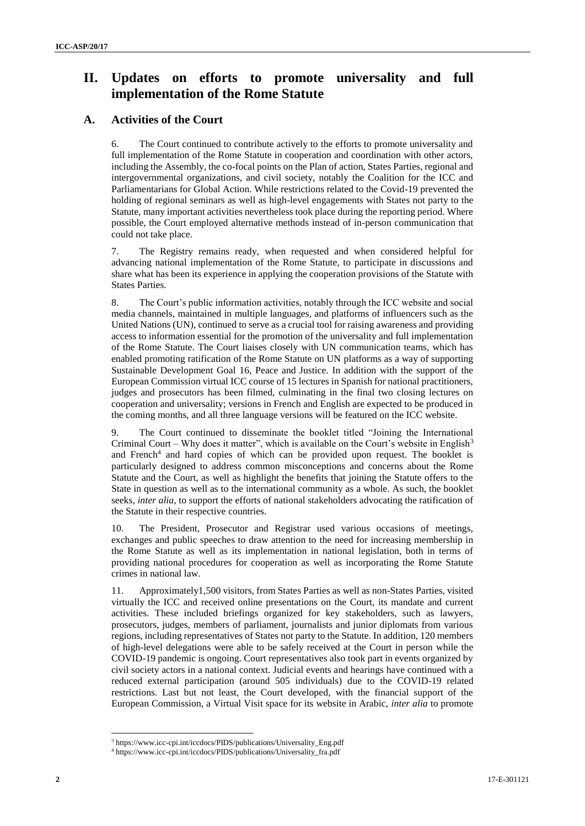## **II. Updates on efforts to promote universality and full implementation of the Rome Statute**

### **A. Activities of the Court**

6. The Court continued to contribute actively to the efforts to promote universality and full implementation of the Rome Statute in cooperation and coordination with other actors, including the Assembly, the co-focal points on the Plan of action, States Parties, regional and intergovernmental organizations, and civil society, notably the Coalition for the ICC and Parliamentarians for Global Action. While restrictions related to the Covid-19 prevented the holding of regional seminars as well as high-level engagements with States not party to the Statute, many important activities nevertheless took place during the reporting period. Where possible, the Court employed alternative methods instead of in-person communication that could not take place.

7. The Registry remains ready, when requested and when considered helpful for advancing national implementation of the Rome Statute, to participate in discussions and share what has been its experience in applying the cooperation provisions of the Statute with States Parties.

8. The Court's public information activities, notably through the ICC website and social media channels, maintained in multiple languages, and platforms of influencers such as the United Nations (UN), continued to serve as a crucial tool for raising awareness and providing access to information essential for the promotion of the universality and full implementation of the Rome Statute. The Court liaises closely with UN communication teams, which has enabled promoting ratification of the Rome Statute on UN platforms as a way of supporting Sustainable Development Goal 16, Peace and Justice. In addition with the support of the European Commission virtual ICC course of 15 lectures in Spanish for national practitioners, judges and prosecutors has been filmed, culminating in the final two closing lectures on cooperation and universality; versions in French and English are expected to be produced in the coming months, and all three language versions will be featured on the ICC website.

The Court continued to disseminate the booklet titled "Joining the International Criminal Court – Why does it matter", which is available on the Court's website in English<sup>3</sup> and French<sup>4</sup> and hard copies of which can be provided upon request. The booklet is particularly designed to address common misconceptions and concerns about the Rome Statute and the Court, as well as highlight the benefits that joining the Statute offers to the State in question as well as to the international community as a whole. As such, the booklet seeks, *inter alia*, to support the efforts of national stakeholders advocating the ratification of the Statute in their respective countries.

10. The President, Prosecutor and Registrar used various occasions of meetings, exchanges and public speeches to draw attention to the need for increasing membership in the Rome Statute as well as its implementation in national legislation, both in terms of providing national procedures for cooperation as well as incorporating the Rome Statute crimes in national law.

11. Approximately1,500 visitors, from States Parties as well as non-States Parties, visited virtually the ICC and received online presentations on the Court, its mandate and current activities. These included briefings organized for key stakeholders, such as lawyers, prosecutors, judges, members of parliament, journalists and junior diplomats from various regions, including representatives of States not party to the Statute. In addition, 120 members of high-level delegations were able to be safely received at the Court in person while the COVID-19 pandemic is ongoing. Court representatives also took part in events organized by civil society actors in a national context. Judicial events and hearings have continued with a reduced external participation (around 505 individuals) due to the COVID-19 related restrictions. Last but not least, the Court developed, with the financial support of the European Commission, a Virtual Visit space for its website in Arabic, *inter alia* to promote

<sup>3</sup> https://www.icc-cpi.int/iccdocs/PIDS/publications/Universality\_Eng.pdf

<sup>4</sup> https://www.icc-cpi.int/iccdocs/PIDS/publications/Universality\_fra.pdf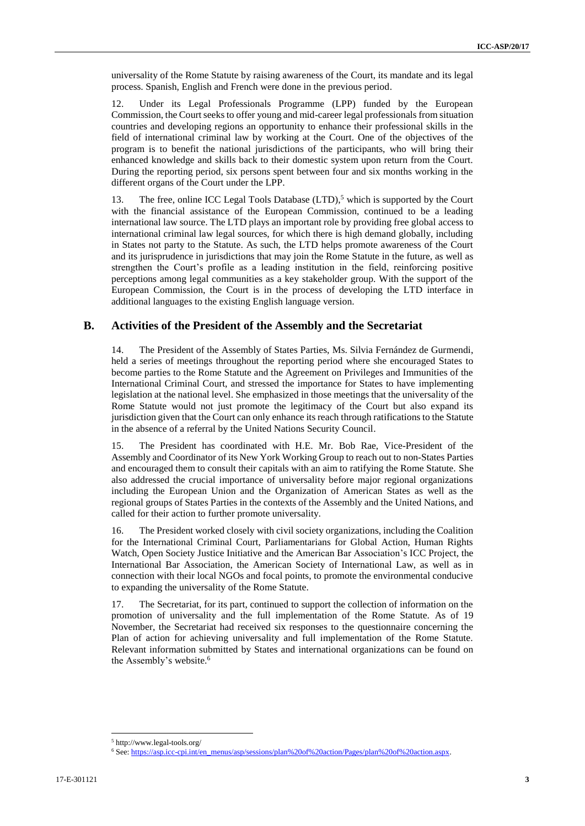universality of the Rome Statute by raising awareness of the Court, its mandate and its legal process. Spanish, English and French were done in the previous period.

12. Under its Legal Professionals Programme (LPP) funded by the European Commission, the Court seeks to offer young and mid-career legal professionals from situation countries and developing regions an opportunity to enhance their professional skills in the field of international criminal law by working at the Court. One of the objectives of the program is to benefit the national jurisdictions of the participants, who will bring their enhanced knowledge and skills back to their domestic system upon return from the Court. During the reporting period, six persons spent between four and six months working in the different organs of the Court under the LPP.

13. The free, online ICC Legal Tools Database  $(LTD)$ ,<sup>5</sup> which is supported by the Court with the financial assistance of the European Commission, continued to be a leading international law source. The LTD plays an important role by providing free global access to international criminal law legal sources, for which there is high demand globally, including in States not party to the Statute. As such, the LTD helps promote awareness of the Court and its jurisprudence in jurisdictions that may join the Rome Statute in the future, as well as strengthen the Court's profile as a leading institution in the field, reinforcing positive perceptions among legal communities as a key stakeholder group. With the support of the European Commission, the Court is in the process of developing the LTD interface in additional languages to the existing English language version.

#### **B. Activities of the President of the Assembly and the Secretariat**

14. The President of the Assembly of States Parties, Ms. Silvia Fernández de Gurmendi, held a series of meetings throughout the reporting period where she encouraged States to become parties to the Rome Statute and the Agreement on Privileges and Immunities of the International Criminal Court, and stressed the importance for States to have implementing legislation at the national level. She emphasized in those meetings that the universality of the Rome Statute would not just promote the legitimacy of the Court but also expand its jurisdiction given that the Court can only enhance its reach through ratifications to the Statute in the absence of a referral by the United Nations Security Council.

15. The President has coordinated with H.E. Mr. Bob Rae, Vice-President of the Assembly and Coordinator of its New York Working Group to reach out to non-States Parties and encouraged them to consult their capitals with an aim to ratifying the Rome Statute. She also addressed the crucial importance of universality before major regional organizations including the European Union and the Organization of American States as well as the regional groups of States Parties in the contexts of the Assembly and the United Nations, and called for their action to further promote universality.

16. The President worked closely with civil society organizations, including the Coalition for the International Criminal Court, Parliamentarians for Global Action, Human Rights Watch, Open Society Justice Initiative and the American Bar Association's ICC Project, the International Bar Association, the American Society of International Law, as well as in connection with their local NGOs and focal points, to promote the environmental conducive to expanding the universality of the Rome Statute.

17. The Secretariat, for its part, continued to support the collection of information on the promotion of universality and the full implementation of the Rome Statute. As of 19 November, the Secretariat had received six responses to the questionnaire concerning the Plan of action for achieving universality and full implementation of the Rome Statute. Relevant information submitted by States and international organizations can be found on the Assembly's website.<sup>6</sup>

<sup>5</sup> http://www.legal-tools.org/

<sup>6</sup> See: [https://asp.icc-cpi.int/en\\_menus/asp/sessions/plan%20of%20action/Pages/plan%20of%20action.aspx.](https://asp.icc-cpi.int/en_menus/asp/sessions/plan%20of%20action/Pages/plan%20of%20action.aspx)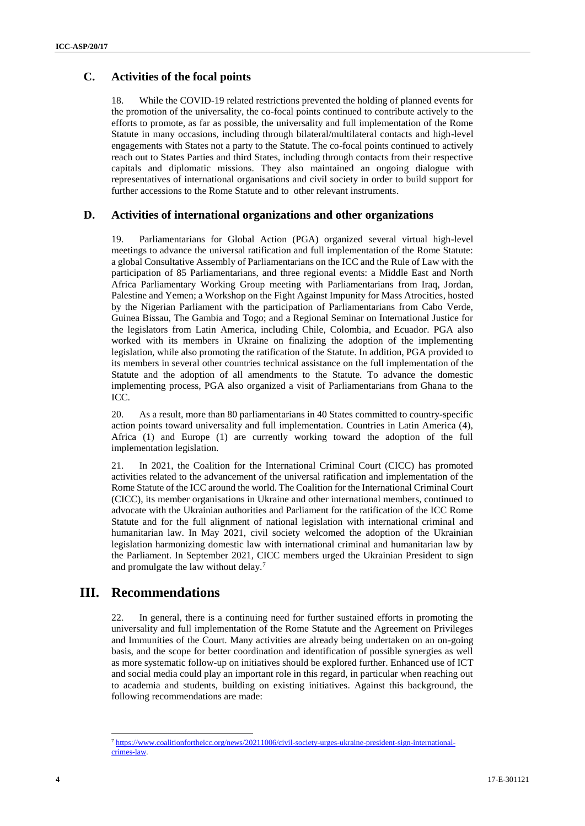### **C. Activities of the focal points**

18. While the COVID-19 related restrictions prevented the holding of planned events for the promotion of the universality, the co-focal points continued to contribute actively to the efforts to promote, as far as possible, the universality and full implementation of the Rome Statute in many occasions, including through bilateral/multilateral contacts and high-level engagements with States not a party to the Statute. The co-focal points continued to actively reach out to States Parties and third States, including through contacts from their respective capitals and diplomatic missions. They also maintained an ongoing dialogue with representatives of international organisations and civil society in order to build support for further accessions to the Rome Statute and to other relevant instruments.

#### **D. Activities of international organizations and other organizations**

19. Parliamentarians for Global Action (PGA) organized several virtual high-level meetings to advance the universal ratification and full implementation of the Rome Statute: a global Consultative Assembly of Parliamentarians on the ICC and the Rule of Law with the participation of 85 Parliamentarians, and three regional events: a Middle East and North Africa Parliamentary Working Group meeting with Parliamentarians from Iraq, Jordan, Palestine and Yemen; a Workshop on the Fight Against Impunity for Mass Atrocities, hosted by the Nigerian Parliament with the participation of Parliamentarians from Cabo Verde, Guinea Bissau, The Gambia and Togo; and a Regional Seminar on International Justice for the legislators from Latin America, including Chile, Colombia, and Ecuador. PGA also worked with its members in Ukraine on finalizing the adoption of the implementing legislation, while also promoting the ratification of the Statute. In addition, PGA provided to its members in several other countries technical assistance on the full implementation of the Statute and the adoption of all amendments to the Statute. To advance the domestic implementing process, PGA also organized a visit of Parliamentarians from Ghana to the ICC.

20. As a result, more than 80 parliamentarians in 40 States committed to country-specific action points toward universality and full implementation. Countries in Latin America (4), Africa (1) and Europe (1) are currently working toward the adoption of the full implementation legislation.

21. In 2021, the Coalition for the International Criminal Court (CICC) has promoted activities related to the advancement of the universal ratification and implementation of the Rome Statute of the ICC around the world. The Coalition for the International Criminal Court (CICC), its member organisations in Ukraine and other international members, continued to advocate with the Ukrainian authorities and Parliament for the ratification of the ICC Rome Statute and for the full alignment of national legislation with international criminal and humanitarian law. In May 2021, civil society welcomed the adoption of the Ukrainian legislation harmonizing domestic law with international criminal and humanitarian law by the Parliament. In September 2021, CICC members urged the Ukrainian President to sign and promulgate the law without delay.<sup>7</sup>

## **III. Recommendations**

22. In general, there is a continuing need for further sustained efforts in promoting the universality and full implementation of the Rome Statute and the Agreement on Privileges and Immunities of the Court. Many activities are already being undertaken on an on-going basis, and the scope for better coordination and identification of possible synergies as well as more systematic follow-up on initiatives should be explored further. Enhanced use of ICT and social media could play an important role in this regard, in particular when reaching out to academia and students, building on existing initiatives. Against this background, the following recommendations are made:

<sup>7</sup> [https://www.coalitionfortheicc.org/news/20211006/civil-society-urges-ukraine-president-sign-international](https://www.coalitionfortheicc.org/news/20211006/civil-society-urges-ukraine-president-sign-international-crimes-law)[crimes-law.](https://www.coalitionfortheicc.org/news/20211006/civil-society-urges-ukraine-president-sign-international-crimes-law)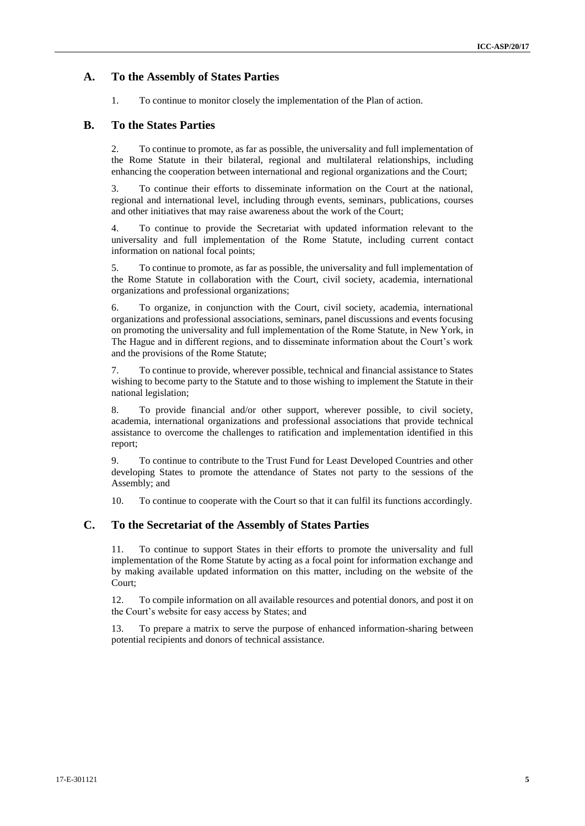#### **A. To the Assembly of States Parties**

1. To continue to monitor closely the implementation of the Plan of action.

#### **B. To the States Parties**

2. To continue to promote, as far as possible, the universality and full implementation of the Rome Statute in their bilateral, regional and multilateral relationships, including enhancing the cooperation between international and regional organizations and the Court;

3. To continue their efforts to disseminate information on the Court at the national, regional and international level, including through events, seminars, publications, courses and other initiatives that may raise awareness about the work of the Court;

4. To continue to provide the Secretariat with updated information relevant to the universality and full implementation of the Rome Statute, including current contact information on national focal points;

5. To continue to promote, as far as possible, the universality and full implementation of the Rome Statute in collaboration with the Court, civil society, academia, international organizations and professional organizations;

6. To organize, in conjunction with the Court, civil society, academia, international organizations and professional associations, seminars, panel discussions and events focusing on promoting the universality and full implementation of the Rome Statute, in New York, in The Hague and in different regions, and to disseminate information about the Court's work and the provisions of the Rome Statute;

7. To continue to provide, wherever possible, technical and financial assistance to States wishing to become party to the Statute and to those wishing to implement the Statute in their national legislation;

8. To provide financial and/or other support, wherever possible, to civil society, academia, international organizations and professional associations that provide technical assistance to overcome the challenges to ratification and implementation identified in this report;

9. To continue to contribute to the Trust Fund for Least Developed Countries and other developing States to promote the attendance of States not party to the sessions of the Assembly; and

10. To continue to cooperate with the Court so that it can fulfil its functions accordingly.

#### **C. To the Secretariat of the Assembly of States Parties**

11. To continue to support States in their efforts to promote the universality and full implementation of the Rome Statute by acting as a focal point for information exchange and by making available updated information on this matter, including on the website of the Court;

12. To compile information on all available resources and potential donors, and post it on the Court's website for easy access by States; and

13. To prepare a matrix to serve the purpose of enhanced information-sharing between potential recipients and donors of technical assistance.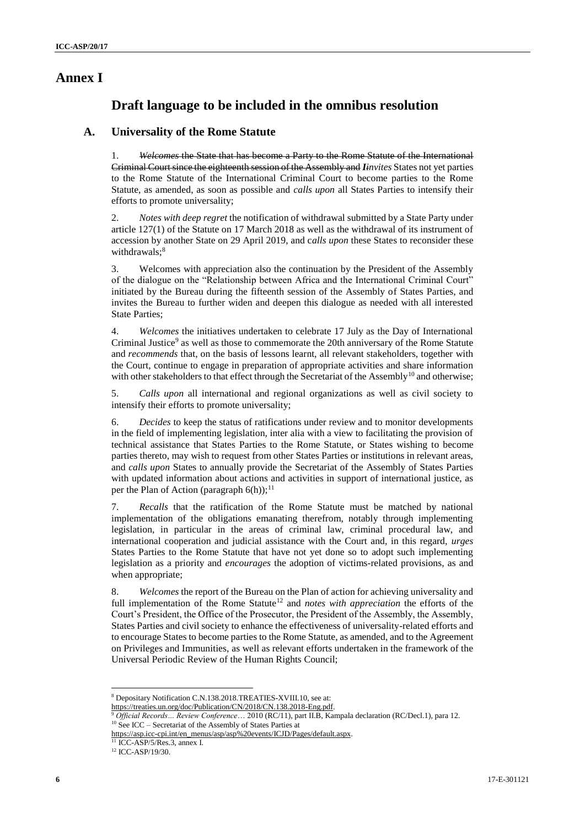## **Annex I**

## **Draft language to be included in the omnibus resolution**

#### **A. Universality of the Rome Statute**

1. *Welcomes* the State that has become a Party to the Rome Statute of the International Criminal Court since the eighteenth session of the Assembly and *Iinvites* States not yet parties to the Rome Statute of the International Criminal Court to become parties to the Rome Statute, as amended, as soon as possible and *calls upon* all States Parties to intensify their efforts to promote universality;

2. *Notes with deep regret* the notification of withdrawal submitted by a State Party under article 127(1) of the Statute on 17 March 2018 as well as the withdrawal of its instrument of accession by another State on 29 April 2019, and c*alls upon* these States to reconsider these withdrawals;<sup>8</sup>

3. Welcomes with appreciation also the continuation by the President of the Assembly of the dialogue on the "Relationship between Africa and the International Criminal Court" initiated by the Bureau during the fifteenth session of the Assembly of States Parties, and invites the Bureau to further widen and deepen this dialogue as needed with all interested State Parties;

4. *Welcomes* the initiatives undertaken to celebrate 17 July as the Day of International Criminal Justice<sup>9</sup> as well as those to commemorate the 20th anniversary of the Rome Statute and *recommends* that, on the basis of lessons learnt, all relevant stakeholders, together with the Court, continue to engage in preparation of appropriate activities and share information with other stakeholders to that effect through the Secretariat of the Assembly<sup>10</sup> and otherwise;

5. *Calls upon* all international and regional organizations as well as civil society to intensify their efforts to promote universality;

6. *Decides* to keep the status of ratifications under review and to monitor developments in the field of implementing legislation, inter alia with a view to facilitating the provision of technical assistance that States Parties to the Rome Statute, or States wishing to become parties thereto, may wish to request from other States Parties or institutions in relevant areas, and *calls upon* States to annually provide the Secretariat of the Assembly of States Parties with updated information about actions and activities in support of international justice, as per the Plan of Action (paragraph  $6(h)$ );<sup>11</sup>

7. *Recalls* that the ratification of the Rome Statute must be matched by national implementation of the obligations emanating therefrom, notably through implementing legislation, in particular in the areas of criminal law, criminal procedural law, and international cooperation and judicial assistance with the Court and, in this regard, *urges*  States Parties to the Rome Statute that have not yet done so to adopt such implementing legislation as a priority and *encourages* the adoption of victims-related provisions, as and when appropriate;

8. *Welcomes* the report of the Bureau on the Plan of action for achieving universality and full implementation of the Rome Statute<sup>12</sup> and *notes with appreciation* the efforts of the Court's President, the Office of the Prosecutor, the President of the Assembly, the Assembly, States Parties and civil society to enhance the effectiveness of universality-related efforts and to encourage States to become parties to the Rome Statute, as amended, and to the Agreement on Privileges and Immunities, as well as relevant efforts undertaken in the framework of the Universal Periodic Review of the Human Rights Council;

<sup>11</sup> ICC-ASP/5/Res.3, annex I.

 $\overline{\phantom{a}}$ <sup>8</sup> Depositary Notification C.N.138.2018.TREATIES-XVIII.10, see at:

[https://treaties.un.org/doc/Publication/CN/2018/CN.138.2018-Eng.pdf.](https://treaties.un.org/doc/Publication/CN/2018/CN.138.2018-Eng.pdf)

<sup>9</sup> *Official Records… Review Conference*… 2010 (RC/11), part II.B, Kampala declaration (RC/Decl.1), para 12. <sup>10</sup> See ICC – Secretariat of the Assembly of States Parties at

[https://asp.icc-cpi.int/en\\_menus/asp/asp%20events/ICJD/Pages/default.aspx.](https://asp.icc-cpi.int/en_menus/asp/asp%20events/ICJD/Pages/default.aspx)

<sup>12</sup> ICC-ASP/19/30.